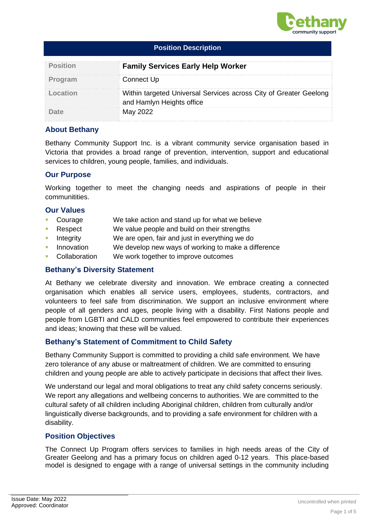

| <b>Position Description</b> |                                                                                                |  |  |  |
|-----------------------------|------------------------------------------------------------------------------------------------|--|--|--|
| <b>Position</b>             | <b>Family Services Early Help Worker</b>                                                       |  |  |  |
| Program                     | Connect Up                                                                                     |  |  |  |
| Location                    | Within targeted Universal Services across City of Greater Geelong<br>and Hamlyn Heights office |  |  |  |
|                             | May 2022                                                                                       |  |  |  |

### **About Bethany**

Bethany Community Support Inc. is a vibrant community service organisation based in Victoria that provides a broad range of prevention, intervention, support and educational services to children, young people, families, and individuals.

#### **Our Purpose**

Working together to meet the changing needs and aspirations of people in their communitities.

### **Our Values**

- Courage We take action and stand up for what we believe
- Respect We value people and build on their strengths
- Integrity We are open, fair and just in everything we do
- Innovation We develop new ways of working to make a difference
- Collaboration We work together to improve outcomes

## **Bethany's Diversity Statement**

At Bethany we celebrate diversity and innovation. We embrace creating a connected organisation which enables all service users, employees, students, contractors, and volunteers to feel safe from discrimination. We support an inclusive environment where people of all genders and ages, people living with a disability. First Nations people and people from LGBTI and CALD communities feel empowered to contribute their experiences and ideas; knowing that these will be valued.

## **Bethany's Statement of Commitment to Child Safety**

Bethany Community Support is committed to providing a child safe environment. We have zero tolerance of any abuse or maltreatment of children. We are committed to ensuring children and young people are able to actively participate in decisions that affect their lives.

We understand our legal and moral obligations to treat any child safety concerns seriously. We report any allegations and wellbeing concerns to authorities. We are committed to the cultural safety of all children including Aboriginal children, children from culturally and/or linguistically diverse backgrounds, and to providing a safe environment for children with a disability.

## **Position Objectives**

The Connect Up Program offers services to families in high needs areas of the City of Greater Geelong and has a primary focus on children aged 0-12 years. This place-based model is designed to engage with a range of universal settings in the community including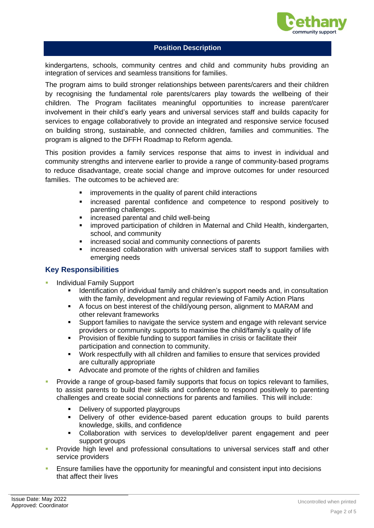

### **Position Description**

kindergartens, schools, community centres and child and community hubs providing an integration of services and seamless transitions for families.

The program aims to build stronger relationships between parents/carers and their children by recognising the fundamental role parents/carers play towards the wellbeing of their children. The Program facilitates meaningful opportunities to increase parent/carer involvement in their child's early years and universal services staff and builds capacity for services to engage collaboratively to provide an integrated and responsive service focused on building strong, sustainable, and connected children, families and communities. The program is aligned to the DFFH Roadmap to Reform agenda.

This position provides a family services response that aims to invest in individual and community strengths and intervene earlier to provide a range of community-based programs to reduce disadvantage, create social change and improve outcomes for under resourced families. The outcomes to be achieved are:

- improvements in the quality of parent child interactions
- increased parental confidence and competence to respond positively to parenting challenges.
- increased parental and child well-being
- **EXT** improved participation of children in Maternal and Child Health, kindergarten, school, and community
- increased social and community connections of parents
- increased collaboration with universal services staff to support families with emerging needs

## **Key Responsibilities**

- Individual Family Support
	- **■** Identification of individual family and children's support needs and, in consultation with the family, development and regular reviewing of Family Action Plans
	- A focus on best interest of the child/young person, alignment to MARAM and other relevant frameworks
	- Support families to navigate the service system and engage with relevant service providers or community supports to maximise the child/family's quality of life
	- Provision of flexible funding to support families in crisis or facilitate their participation and connection to community.
	- Work respectfully with all children and families to ensure that services provided are culturally appropriate
	- Advocate and promote of the rights of children and families
- **Provide a range of group-based family supports that focus on topics relevant to families.** to assist parents to build their skills and confidence to respond positively to parenting challenges and create social connections for parents and families. This will include:
	- Delivery of supported playgroups
	- Delivery of other evidence-based parent education groups to build parents knowledge, skills, and confidence
	- Collaboration with services to develop/deliver parent engagement and peer support groups
- Provide high level and professional consultations to universal services staff and other service providers
- Ensure families have the opportunity for meaningful and consistent input into decisions that affect their lives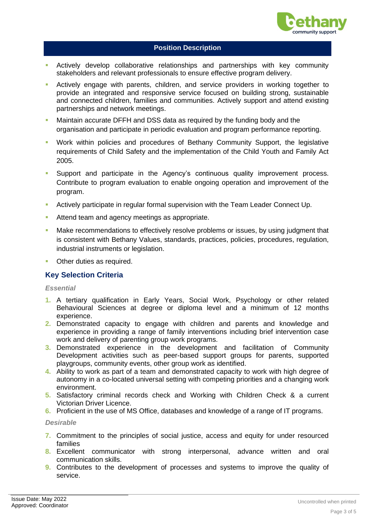

### **Position Description**

- **E** Actively develop collaborative relationships and partnerships with key community stakeholders and relevant professionals to ensure effective program delivery.
- Actively engage with parents, children, and service providers in working together to provide an integrated and responsive service focused on building strong, sustainable and connected children, families and communities. Actively support and attend existing partnerships and network meetings.
- Maintain accurate DFFH and DSS data as required by the funding body and the organisation and participate in periodic evaluation and program performance reporting.
- Work within policies and procedures of Bethany Community Support, the legislative requirements of Child Safety and the implementation of the Child Youth and Family Act 2005.
- Support and participate in the Agency's continuous quality improvement process. Contribute to program evaluation to enable ongoing operation and improvement of the program.
- Actively participate in regular formal supervision with the Team Leader Connect Up.
- Attend team and agency meetings as appropriate.
- Make recommendations to effectively resolve problems or issues, by using judgment that is consistent with Bethany Values, standards, practices, policies, procedures, regulation, industrial instruments or legislation.
- Other duties as required.

#### **Key Selection Criteria**

#### *Essential*

- **1.** A tertiary qualification in Early Years, Social Work, Psychology or other related Behavioural Sciences at degree or diploma level and a minimum of 12 months experience.
- **2.** Demonstrated capacity to engage with children and parents and knowledge and experience in providing a range of family interventions including brief intervention case work and delivery of parenting group work programs.
- **3.** Demonstrated experience in the development and facilitation of Community Development activities such as peer-based support groups for parents, supported playgroups, community events, other group work as identified.
- **4.** Ability to work as part of a team and demonstrated capacity to work with high degree of autonomy in a co-located universal setting with competing priorities and a changing work environment.
- **5.** Satisfactory criminal records check and Working with Children Check & a current Victorian Driver Licence.
- **6.** Proficient in the use of MS Office, databases and knowledge of a range of IT programs.

#### *Desirable*

- **7.** Commitment to the principles of social justice, access and equity for under resourced families
- **8.** Excellent communicator with strong interpersonal, advance written and oral communication skills.
- **9.** Contributes to the development of processes and systems to improve the quality of service.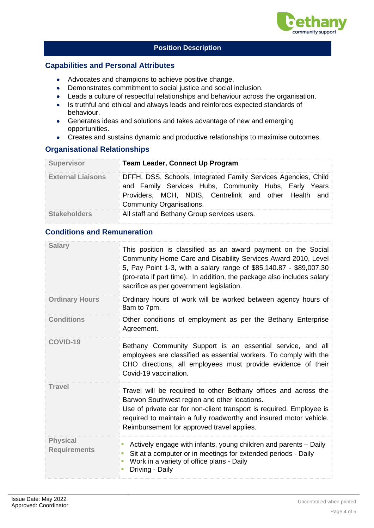

## **Position Description**

### **Capabilities and Personal Attributes**

- Advocates and champions to achieve positive change.
- Demonstrates commitment to social justice and social inclusion.
- Leads a culture of respectful relationships and behaviour across the organisation.
- Is truthful and ethical and always leads and reinforces expected standards of behaviour.
- Generates ideas and solutions and takes advantage of new and emerging opportunities.
- Creates and sustains dynamic and productive relationships to maximise outcomes.

## **Organisational Relationships**

| <b>Supervisor</b>        | <b>Team Leader, Connect Up Program</b>                                                                                                                                                                       |  |  |
|--------------------------|--------------------------------------------------------------------------------------------------------------------------------------------------------------------------------------------------------------|--|--|
| <b>External Liaisons</b> | DFFH, DSS, Schools, Integrated Family Services Agencies, Child<br>and Family Services Hubs, Community Hubs, Early Years<br>Providers, MCH, NDIS, Centrelink and other Health and<br>Community Organisations. |  |  |
| <b>Stakeholders</b>      | All staff and Bethany Group services users.                                                                                                                                                                  |  |  |

# **Conditions and Remuneration**

| <b>Salary</b>                          | This position is classified as an award payment on the Social<br>Community Home Care and Disability Services Award 2010, Level<br>5, Pay Point 1-3, with a salary range of \$85,140.87 - \$89,007.30<br>(pro-rata if part time). In addition, the package also includes salary<br>sacrifice as per government legislation. |
|----------------------------------------|----------------------------------------------------------------------------------------------------------------------------------------------------------------------------------------------------------------------------------------------------------------------------------------------------------------------------|
| <b>Ordinary Hours</b>                  | Ordinary hours of work will be worked between agency hours of<br>8am to 7pm.                                                                                                                                                                                                                                               |
| <b>Conditions</b>                      | Other conditions of employment as per the Bethany Enterprise<br>Agreement.                                                                                                                                                                                                                                                 |
| COVID-19                               | Bethany Community Support is an essential service, and all<br>employees are classified as essential workers. To comply with the<br>CHO directions, all employees must provide evidence of their<br>Covid-19 vaccination.                                                                                                   |
| <b>Travel</b>                          | Travel will be required to other Bethany offices and across the<br>Barwon Southwest region and other locations.<br>Use of private car for non-client transport is required. Employee is<br>required to maintain a fully roadworthy and insured motor vehicle.<br>Reimbursement for approved travel applies.                |
| <b>Physical</b><br><b>Requirements</b> | Actively engage with infants, young children and parents – Daily<br>$\blacksquare$<br>Sit at a computer or in meetings for extended periods - Daily<br>Work in a variety of office plans - Daily<br>Driving - Daily                                                                                                        |